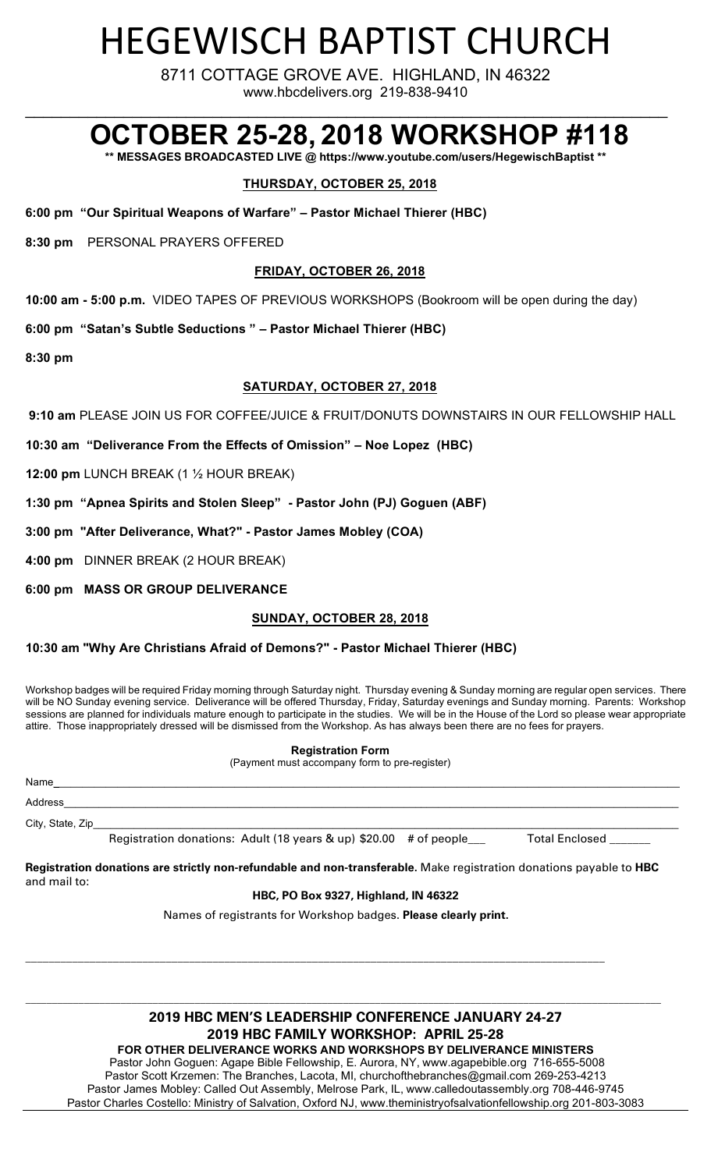# HEGEWISCH BAPTIST CHURCH

8711 COTTAGE GROVE AVE. HIGHLAND, IN 46322 www.hbcdelivers.org 219-838-9410

# **OCTOBER 25-28, 2018 WORKSHOP #118**

**\*\* MESSAGES BROADCASTED LIVE @ https://www.youtube.com/users/HegewischBaptist \*\***

 $\mathcal{L}_\text{max}$  and  $\mathcal{L}_\text{max}$  and  $\mathcal{L}_\text{max}$  and  $\mathcal{L}_\text{max}$  and  $\mathcal{L}_\text{max}$  and  $\mathcal{L}_\text{max}$ 

# **THURSDAY, OCTOBER 25, 2018**

**6:00 pm "Our Spiritual Weapons of Warfare" – Pastor Michael Thierer (HBC)**

**8:30 pm** PERSONAL PRAYERS OFFERED

# **FRIDAY, OCTOBER 26, 2018**

**10:00 am - 5:00 p.m.** VIDEO TAPES OF PREVIOUS WORKSHOPS (Bookroom will be open during the day)

**6:00 pm "Satan's Subtle Seductions " – Pastor Michael Thierer (HBC)**

**8:30 pm**

# **SATURDAY, OCTOBER 27, 2018**

**9:10 am** PLEASE JOIN US FOR COFFEE/JUICE & FRUIT/DONUTS DOWNSTAIRS IN OUR FELLOWSHIP HALL

**10:30 am "Deliverance From the Effects of Omission" – Noe Lopez (HBC)**

**12:00 pm** LUNCH BREAK (1 ½ HOUR BREAK)

**1:30 pm "Apnea Spirits and Stolen Sleep" - Pastor John (PJ) Goguen (ABF)**

**3:00 pm "After Deliverance, What?" - Pastor James Mobley (COA)**

**4:00 pm** DINNER BREAK (2 HOUR BREAK)

**6:00 pm MASS OR GROUP DELIVERANCE**

### **SUNDAY, OCTOBER 28, 2018**

### **10:30 am "Why Are Christians Afraid of Demons?" - Pastor Michael Thierer (HBC)**

Workshop badges will be required Friday morning through Saturday night. Thursday evening & Sunday morning are regular open services. There will be NO Sunday evening service. Deliverance will be offered Thursday, Friday, Saturday evenings and Sunday morning. Parents: Workshop sessions are planned for individuals mature enough to participate in the studies. We will be in the House of the Lord so please wear appropriate attire. Those inappropriately dressed will be dismissed from the Workshop. As has always been there are no fees for prayers.

**Registration Form**

(Payment must accompany form to pre-register)

| Name             |                                                                   |                       |
|------------------|-------------------------------------------------------------------|-----------------------|
| Address          |                                                                   |                       |
| City, State, Zip |                                                                   |                       |
|                  | Registration donations: Adult (18 years & up) \$20.00 # of people | <b>Total Enclosed</b> |

**Registration donations are strictly non-refundable and non-transferable.** Make registration donations payable to **HBC**  and mail to:

#### **HBC, PO Box 9327, Highland, IN 46322**

Names of registrants for Workshop badges. **Please clearly print.**

**\_\_\_\_\_\_\_\_\_\_\_\_\_\_\_\_\_\_\_\_\_\_\_\_\_\_\_\_\_\_\_\_\_\_\_\_\_\_\_\_\_\_\_\_\_\_\_\_\_\_\_\_\_\_\_\_\_\_\_\_\_\_\_\_\_\_\_\_\_\_\_\_\_\_\_\_\_\_\_\_\_\_\_\_\_\_\_\_\_\_\_\_\_\_\_\_\_\_\_**

# **2019 HBC MEN'S LEADERSHIP CONFERENCE JANUARY 24-27 2019 HBC FAMILY WORKSHOP: APRIL 25-28**

\_\_\_\_\_\_\_\_\_\_\_\_\_\_\_\_\_\_\_\_\_\_\_\_\_\_\_\_\_\_\_\_\_\_\_\_\_\_\_\_\_\_\_\_\_\_\_\_\_\_\_\_\_\_\_\_\_\_\_\_\_\_\_\_\_\_\_\_\_\_\_\_\_\_\_\_\_\_\_\_\_\_\_\_\_\_\_\_\_\_\_\_\_\_\_\_\_\_\_\_\_\_\_\_\_\_\_\_\_\_\_\_\_\_\_\_\_\_\_\_

**FOR OTHER DELIVERANCE WORKS AND WORKSHOPS BY DELIVERANCE MINISTERS** Pastor John Goguen: Agape Bible Fellowship, E. Aurora, NY, www.agapebible.org 716-655-5008 Pastor Scott Krzemen: The Branches, Lacota, MI, churchofthebranches@gmail.com 269-253-4213 Pastor James Mobley: Called Out Assembly, Melrose Park, IL, www.calledoutassembly.org 708-446-9745 Pastor Charles Costello: Ministry of Salvation, Oxford NJ, www.theministryofsalvationfellowship.org 201-803-3083